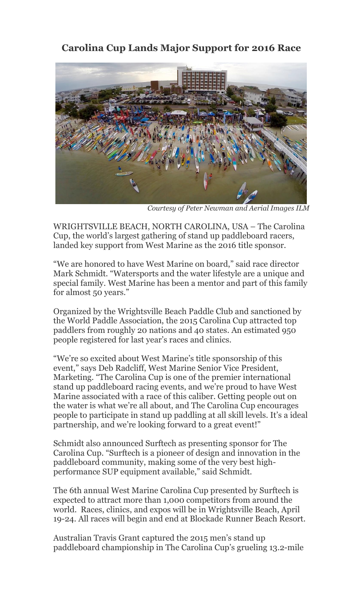## **Carolina Cup Lands Major Support for 2016 Race**



*Courtesy of Peter Newman and Aerial Images ILM* 

WRIGHTSVILLE BEACH, NORTH CAROLINA, USA – The Carolina Cup, the world's largest gathering of stand up paddleboard racers, landed key support from West Marine as the 2016 title sponsor.

"We are honored to have West Marine on board," said race director Mark Schmidt. "Watersports and the water lifestyle are a unique and special family. West Marine has been a mentor and part of this family for almost 50 years."

Organized by the Wrightsville Beach Paddle Club and sanctioned by the World Paddle Association, the 2015 Carolina Cup attracted top paddlers from roughly 20 nations and 40 states. An estimated 950 people registered for last year's races and clinics.

"We're so excited about West Marine's title sponsorship of this event," says Deb Radcliff, West Marine Senior Vice President, Marketing. "The Carolina Cup is one of the premier international stand up paddleboard racing events, and we're proud to have West Marine associated with a race of this caliber. Getting people out on the water is what we're all about, and The Carolina Cup encourages people to participate in stand up paddling at all skill levels. It's a ideal partnership, and we're looking forward to a great event!"

Schmidt also announced Surftech as presenting sponsor for The Carolina Cup. "Surftech is a pioneer of design and innovation in the paddleboard community, making some of the very best highperformance SUP equipment available," said Schmidt.

The 6th annual West Marine Carolina Cup presented by Surftech is expected to attract more than 1,000 competitors from around the world. Races, clinics, and expos will be in Wrightsville Beach, April 19-24. All races will begin and end at Blockade Runner Beach Resort.

Australian Travis Grant captured the 2015 men's stand up paddleboard championship in The Carolina Cup's grueling 13.2-mile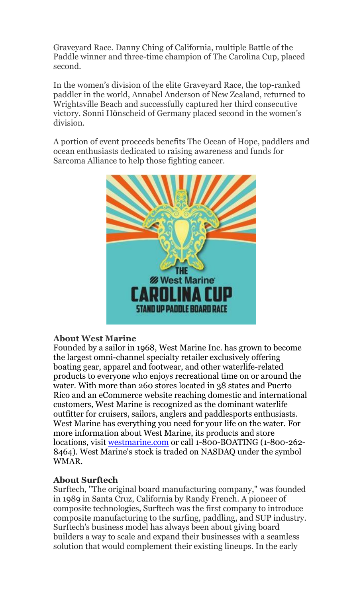Graveyard Race. Danny Ching of California, multiple Battle of the Paddle winner and three-time champion of The Carolina Cup, placed second.

In the women's division of the elite Graveyard Race, the top-ranked paddler in the world, Annabel Anderson of New Zealand, returned to Wrightsville Beach and successfully captured her third consecutive victory. Sonni Hönscheid of Germany placed second in the women's division.

A portion of event proceeds benefits The Ocean of Hope, paddlers and ocean enthusiasts dedicated to raising awareness and funds for Sarcoma Alliance to help those fighting cancer.



## **About West Marine**

Founded by a sailor in 1968, West Marine Inc. has grown to become the largest omni-channel specialty retailer exclusively offering boating gear, apparel and footwear, and other waterlife-related products to everyone who enjoys recreational time on or around the water. With more than 260 stores located in 38 states and Puerto Rico and an eCommerce website reaching domestic and international customers, West Marine is recognized as the dominant waterlife outfitter for cruisers, sailors, anglers and paddlesports enthusiasts. West Marine has everything you need for your life on the water. For more information about West Marine, its products and store locations, visit [westmarine.com](http://www.westmarine.com/) or call 1-800-BOATING (1-800-262- 8464). West Marine's stock is traded on NASDAQ under the symbol WMAR.

## **About Surftech**

Surftech, "The original board manufacturing company," was founded in 1989 in Santa Cruz, California by Randy French. A pioneer of composite technologies, Surftech was the first company to introduce composite manufacturing to the surfing, paddling, and SUP industry. Surftech's business model has always been about giving board builders a way to scale and expand their businesses with a seamless solution that would complement their existing lineups. In the early